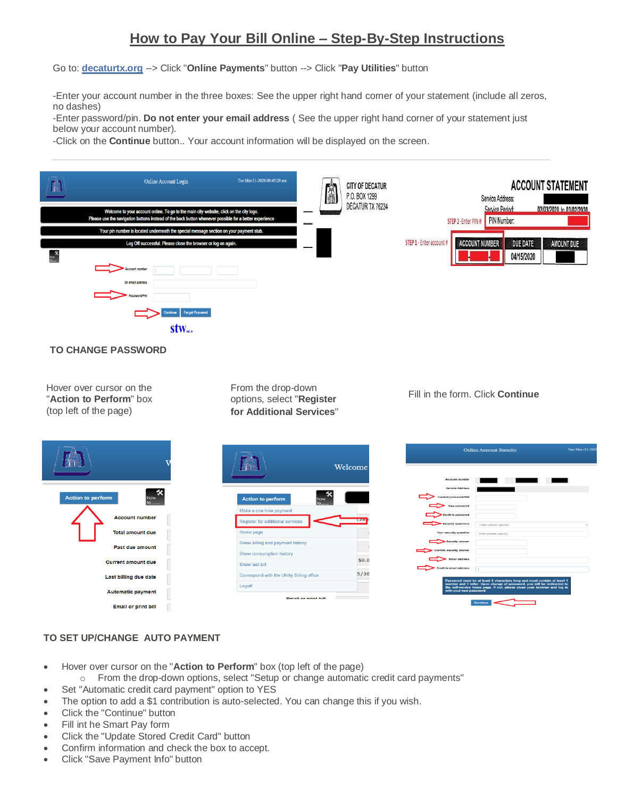# **How to Pay Your Bill Online – Step-By-Step Instructions**

Go to: **[decaturtx.org](http://decaturtx.org/)** --> Click "**Online Payments**" button --> Click "**Pay Utilities**" button

-Enter your account number in the three boxes: See the upper right hand corner of your statement (include all zeros, no dashes)

-Enter password/pin. **Do not enter your email address** ( See the upper right hand corner of your statement just below your account number).

-Click on the **Continue** button.. Your account information will be displayed on the screen.



### **TO CHANGE PASSWORD**

Hover over cursor on the "**Action to Perform**" box (top left of the page)

From the drop-down options, select "**Register for Additional Services**"

#### Fill in the form. Click **Continue**

|                                       |                                            | Welcome |
|---------------------------------------|--------------------------------------------|---------|
| <b>Action to perform</b><br>how<br>to | <b>Action to perform</b><br>how<br>to      |         |
|                                       | Make a one time payment                    |         |
| <b>Account number</b>                 | Register for additional services           | 1.26    |
| <b>Total amount due</b>               | Home page                                  |         |
| Past due amount                       | Show billing and payment history           |         |
|                                       | Show consumption history                   |         |
| <b>Current amount due</b>             | Show last bill                             | \$0.0   |
| Last billing due date                 | Correspond with the Utility Billing office | 5/20    |
|                                       | Logoff                                     |         |
| <b>Automatic payment</b>              | <b>Email or print hill</b>                 |         |
| <b>Email or print bill</b><br>Ш       |                                            |         |
|                                       |                                            |         |

| <b>Account number</b>   |                        |
|-------------------------|------------------------|
| <b>Service Address</b>  |                        |
| Current password/PIN    |                        |
| New password            |                        |
| <b>Confirm password</b> |                        |
| Security questions      | Other (please specify) |
| Your security question  | Other (please specify) |
| <b>Security answer</b>  |                        |
| Confirm security answer |                        |
| <b>Email address</b>    |                        |
| Confirm email address   |                        |

## **TO SET UP/CHANGE AUTO PAYMENT**

- Hover over cursor on the "**Action to Perform**" box (top left of the page)
- o From the drop-down options, select "Setup or change automatic credit card payments"
- Set "Automatic credit card payment" option to YES
- The option to add a \$1 contribution is auto-selected. You can change this if you wish.
- Click the "Continue" button
- Fill int he Smart Pay form
- Click the "Update Stored Credit Card" button
- Confirm information and check the box to accept.
- Click "Save Payment Info" button